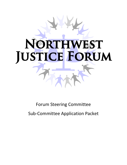# **RT THWEST** N JUSTICE FORUM

Forum Steering Committee

Sub-Committee Application Packet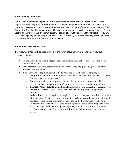#### **Forum Steering Committee**

In order to both sustain and grow the NW Justice forum as a relevant and effective event for the implementation and growth of Restorative Justice values and practice in the Pacific Northwest, it is important to create and sustain a committed and active working group (Steering Committee and Sub-Committees) to plan the annual forums. Chairs of the subcommittees will be selected from the Forum Steering Committee (FSC). Subcommittees will consist of both FSC and non FSC members. If you are interested in joining one of our subcommittees, please carefully review the following criteria and then complete and submit the application form attached.

#### **Sub-Committee Selection Criteria**

The following criteria will be used by the existing Forum Steering Committee to select new subcommittee members.

- To enhance efficiency and effectiveness, the number of members for each of the 7 subcommittees will be 4.
- Each member shall have demonstrated a commitment to and grounding in Restorative Justice values and practice.
- A priority in selecting members shall be to have the greatest possible diversity in:
	- o **Geographic location** in Oregon and Washington. (Ideally no more than two people from any agency/organization.)
	- o **Community size** is an important factor. Ideally the sub-committees will have representatives from communities/counties of varying size and demographics.
	- o **Ethnicity/race/culture** are additional important factors in creating a diverse group that can be aware of issues/topics/practices that are important to highlight at a Forum.
	- o **Stakeholders** who bring diverse insight, experience, perspectives and needs are also of importance. While the Forum cannot effectively focus on the great breadth work that Restorative Justice principles are relevant to, the Forum does seek to be a valuable venue to stakeholders who have a significant focus of working with youth and those impacted by youth – juvenile justice, schools, law enforcement, crime victims/advocates, social services, social justice agencies/groups, community activists.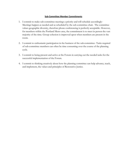#### **Sub-Committee Member Commitments**

- 1. I commit to make sub-committee meetings a priority and will schedule accordingly-Meetings happen as needed and as scheduled by the sub-committee chair. The committee values geographic diversity, therefore phone conferencing is perfectly acceptable. However, for members within the Portland Metro area, the commitment is to meet in person the vast majority of the time. Group cohesion is improved upon when members are present in the room.
- 2. I commit to enthusiastic participation in the business of the sub-committee- Tasks required of sub-committee members can often be time consuming over the course of the planning cycle.
- 3. I commit to being present and active at the Forum in carrying out the needed tasks for the successful implementation of the Forum.
- 4. I commit to thinking creatively about how the planning committee can help advance, teach, and implement, the values and principles of Restorative Justice.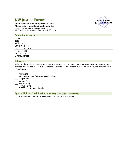# **NW Justice Forum**

Sub-Committee Member Application Form **Please return completed application to:**  Resolutions NW, Attn: Betsy Coddington 1827 Northeast 44th Avenue # 300 Portland, OR 97213

#### **Contact Information**

| Name                  |  |
|-----------------------|--|
| Title                 |  |
| Affiliation           |  |
| <b>Street Address</b> |  |
| City ST ZIP Code      |  |
| Home Phone            |  |
| Work Phone            |  |
| E-Mail Address        |  |
|                       |  |

#### **Interests**

Tell us in which sub-committees you are most interested in contributing to the NW Justice Forum's success. You can read descriptions of each sub-committee on the attached document. If there are multiple, rank them in order of preference.

- \_\_\_ Marketing
- Volunteers/Day-of-Logistics/Audio Visual
- Registration
- \_\_\_ Venue/Food
- **Fundraising**
- \_\_\_ Keynote Dinner
- \_\_\_ RFP/Presenter Coordination

#### **Special Skills or Qualifications (use a separate page if necessary)**

Please describe your interest in volunteering for the NW Justice Forum.

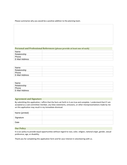Please summarize why you would be a positive addition to the planning team.

#### **Personal and Professional References (please provide at least one of each)**

| Name           |  |
|----------------|--|
| Relationship   |  |
| Phone          |  |
| E-Mail Address |  |
|                |  |

| Name           |  |
|----------------|--|
| Relationship   |  |
| Phone          |  |
| E-Mail Address |  |

| Name           |  |
|----------------|--|
| Relationship   |  |
| Phone          |  |
| E-Mail Address |  |

#### **Agreement and Signature**

By submitting this application, I affirm that the facts set forth in it are true and complete. I understand that if I am accepted as a sub-committee member, any false statements, omissions, or other misrepresentations made by me on this application may result in my immediate dismissal.

| Name (printed) |  |
|----------------|--|
| Signature      |  |
| Date           |  |

#### **Our Policy**

It is our policy to provide equal opportunities without regard to race, color, religion, national origin, gender, sexual preference, age, or disability.

Thank you for completing this application form and for your interest in volunteering with us.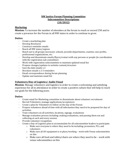# **NW Justice Forum Planning Committee Subcommittee Descriptions (10/2012)**

# **Marketing**

**Mission:** To increase the number of attendees at the forum to reach or exceed 250 and to create a presence for the Forum in all NW states in order to continue to grow.

# **Duties:**

- Create a marketing plan
- Develop Brochures
- Construct reminder emails
- Reach all NW states/regions
- Reach out to all groups necessary: schools, juvenile departments, counties, non-profits, professional organizations, etc.
- Develop and disseminate emails/flyers/contact with any persons or people (in coordination with the registration sub-committee)
- Work with registration subcommittee to maintain updated email list
- Propose changes/updates to website content/structure
- Save the date emails x 2
- Brochure emails x 2-3 reminders
- Email correspondence during forum planning
- Update and maintain email list

# **Volunteers/Day-of Logistics/ Audio Visual**

**Mission**: Manage volunteers and logistics in order to create a welcoming and satisfying experience for all in attendance in order to create a positive culture that will help to reach our goals for the following years.

- Create email for Marketing committee to disseminate about volunteer recruitment
- Recruit Volunteers, manage applications/acceptances
- Create a plan for Volunteers to follow on the day of the Forum
- Prepare volunteers ahead of time with all information they need to be prepared for day-of activities
- Train volunteers on all activities, locations, signage, evaluations
- Manage evaluation process including: making evaluations, and passing them out and collecting at each and every session.
- Provide volunteer recognition
- Create a Day-of Logistics plan to accommodate for all subcommittee leaders to participate
	- $\circ$  Make sure everyone is where they need to be including: presenters, PCs, and volunteers
	- $\circ$  Make sure all AV equipment is in place/working work with Venue subcommittee on this
	- o Make sure all food and tables/chairs are where they need to be work with venue subcommittee on this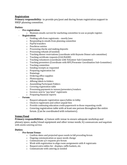# **Registration**

**Primary responsibility:** to provide pre/post and during forum registration support to NWJF planning committee.

#### **Duties:**

- **Pre-registration:**
	- o Maintain emails current for marketing committee to use as people register.
- **Registration:**
	- o Fielding calls from registrants mostly June
	- o Responding to emails from planning committee
	- o PayPal transfers
	- o Peachtree entries
	- o Processing checks and making deposits
	- o Processing refunds (if needed)
	- o Tracking dinner reservations (coordinate with Keynote Dinner sub-committee)
	- o Tracking certificate requests (CLE/NASW)
	- o Tracking volunteers (coordinate with Volunteer Sub-Committee)
	- o Tracking presenters (Coordinate with RFP/Presenter Coordination Sub-Committee)
	- o Tracking committee
	- o Sending receipts as requested
	- o Preparing registration list
	- o Nametags
	- o Ordering office supplies
	- o Photocopying
	- o Affixing labels to folders
	- o Assembling Participant Folders
	- o Covering registration table
	- o Processing payments to venues/presenters/vendors
	- o Invoices sent to "pay later" registrants
	- o Preparing financial reports
- **Forum:**
	- o Request adequate registration space/tables in lobby
	- o Check in registrants and collect unpaid fees
	- o Provide continuing education credit paperwork to those requesting credit
	- $\circ$  Covering registration table with at least one person throughout the entire forum. (Can be coordinated with volunteers).

#### **Venue/Food**

**Primary responsibilities:** a) liaison with venue to ensure adequate workshop and plenary space, audio/visual equipment and other venue needs; b) communicate and negotiate with onsite catering service.

- **Pre-forum Venue:**
	- o Confirm dates and projected space needs in fall preceding forum
	- o Ongoing communication as space needs change
	- o Communicate a/v requests pre-forum
	- o Work with registration to align room assignments with # registrants
	- o Request extra tables for: displays, raffle baskets, etc.
	- o Communicate with catering as needed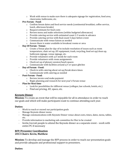- $\circ$  Work with venue to make sure there is adequate signage for registration, food area, classrooms, bathrooms, etc.
- **Pre-Forum - Food:**
	- o Confirm forum dates and food service needs (continental breakfast, coffee service, lunch, afternoon breaks)
	- o Request estimate for food costs
	- o Review menu and make selections (within budgeted allowances)
	- o Provide catering service with estimated count 2-3 weeks in advance
	- o Provide catering service with final count 5 days before event
	- o Communicate with venue liaison as needed
	- o Assure there is water available in breakout rooms or area
- **Day Of Forum - Venue:**
	- o Create a Venue plan for day-of to include resolution of issues such as room temperature, chair set up, AV equipment, trash, recycling, food set up/clean up, bathroom signage, venue signage, etc.
	- o Provide volunteers with a/v needs for each room
	- o Provide volunteers with room assignments
	- o Check set up of plenary session/lunch spaces
	- $\circ$  Communicate with facilities around a/v or space glitches
- **Day of Forum - Food:**
	- o Check in with catering about set up/break down times
	- o Communicate with catering as needed
- **Post-Forum - Food:**
	- o Review invoice and make payment
	- o Begin planning and research for next year's Forum venue
- **Plan for Next time**
	- o Look for possibilities for different venue (colleges, law schools, hotels, etc.)
	- o Find out pricing, AV, space, etc.

# **Keynote Dinner**

**Mission:** To create an event that will be enjoyable for all in attendance in order to reach our goals and which will make participants want to continue attending each year.

#### **Duties:**

- Work to reach or exceed our participation goals
- Manage Keynote dinner menu
- Manage communications with Keynote Dinner venue about costs, times, dates, menu, tables, etc.
- Provide information to marketing sub-committee for flier to be created
- Invite/recruit people to attend the Keynote dinner as a separate event work with entire PC if necessary

## **RFP/Presenter Coordination 2013 Chairs: Kevin, Matthew**

**Mission:** To develop and manage the RFP process in order to reach our presentation goals and provide adequate and professional support to presenters.